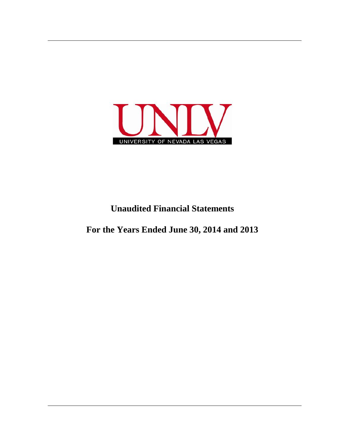

## **Unaudited Financial Statements**

**For the Years Ended June 30, 2014 and 2013**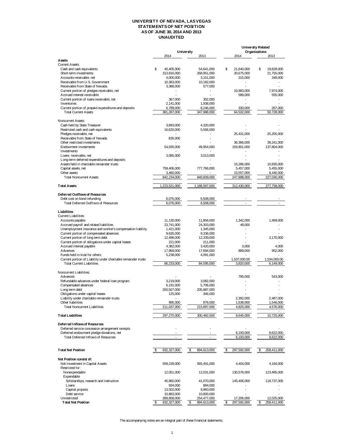## **UNIVERSITY OF NEVADA, LAS VEGAS STATEMENTS OF NET POSITION AS OF JUNE 30, 2014 AND 2013 UNAUDITED**

|                                                                                                    |    |                          |                           |                           | University Related |                           |
|----------------------------------------------------------------------------------------------------|----|--------------------------|---------------------------|---------------------------|--------------------|---------------------------|
|                                                                                                    |    | 2014                     | <b>University</b><br>2013 | 2014                      | Organizations      | 2013                      |
| Assets                                                                                             |    |                          |                           |                           |                    |                           |
| <b>Current Assets:</b>                                                                             |    |                          |                           |                           |                    |                           |
| Cash and cash equivalents                                                                          | \$ | 40,405,000               | 54,641,000                | \$<br>21,640,000          | \$                 | 19,828,000                |
| Short-term investments                                                                             |    | 313,816,000              | 268,951,000               | 30,675,000                |                    | 21,755,000                |
| Accounts receivable, net                                                                           |    | 4,000,000                | 3,151,000                 | 315,000                   |                    | 349,000                   |
| Receivable from U.S. Government                                                                    |    | 10,383,000               | 10,182,000                | ٠                         |                    | ٠                         |
| Receivable from State of Nevada                                                                    |    | 3,386,000                | 577,000                   |                           |                    |                           |
| Current portion of pledges receivable, net                                                         |    |                          |                           | 10,983,000                |                    | 7,974,000                 |
| Accrued interest receivable                                                                        |    |                          |                           | 589,000                   |                    | 555,000                   |
| Current portion of Ioans receivable, net                                                           |    | 367,000                  | 302,000                   |                           |                    |                           |
| Inventories                                                                                        |    | 2,141,000                | 1,938,000                 | $\overline{a}$            |                    |                           |
| Current portion of prepaid expenditures and deposits                                               |    | 6,789,000                | 8,246,000                 | 330,000                   |                    | 267.000                   |
| <b>Total Current Assets</b>                                                                        |    | 381,287,000              | 347,988,000               | 64,532,000                |                    | 50,728,000                |
| Noncurrent Assets:                                                                                 |    |                          |                           |                           |                    |                           |
| Cash held by State Treasurer                                                                       |    | 3,893,000                | 4,320,000                 |                           |                    |                           |
| Restricted cash and cash equivalents                                                               |    | 16,620,000               | 5,556,000                 |                           |                    |                           |
| Pledges receivable, net                                                                            |    |                          |                           | 25,431,000                |                    | 25,255,000                |
| Receivable from State of Nevada                                                                    |    | 835,000                  |                           |                           |                    |                           |
| Other restricted investments                                                                       |    |                          |                           | 36,366,000                |                    | 39,241,000                |
| Endowment investments                                                                              |    | 54,935,000               | 49,954,000                | 159,801,000               |                    | 137,804,000               |
| Investments                                                                                        |    |                          |                           |                           |                    |                           |
| Loans receivable, net                                                                              |    | 3,085,000                | 3,013,000                 |                           |                    |                           |
| Long-term deferred expenditures and deposits                                                       |    |                          |                           |                           |                    |                           |
| Assets held in charitable remainder trusts                                                         |    |                          |                           | 10,286,000                |                    | 10,835,000                |
| Capital assets, net                                                                                |    | 759,406,000              | 777,766,000               | 5,457,000                 |                    | 5,455,000                 |
| Other assets                                                                                       |    | 3,460,000                |                           | 10,557,000                |                    | 8,440,000                 |
| <b>Total Noncurrent Assets</b>                                                                     |    | 842,234,000              | 840,609,000               | 247,898,000               |                    | 227,030,000               |
|                                                                                                    |    |                          |                           |                           |                    |                           |
| <b>Total Assets</b>                                                                                |    | 1,223,521,000            | 1,188,597,000             | 312,430,000               |                    | 277,758,000               |
| Deferred Outflows of Resources                                                                     |    |                          |                           |                           |                    |                           |
| Debt cost on bond refunding                                                                        |    | 6,076,000                | 6,508,000                 |                           |                    |                           |
| Total Deferred Outflows of Resources                                                               |    | 6,076,000                | 6,508,000                 |                           |                    |                           |
|                                                                                                    |    |                          |                           |                           |                    |                           |
| Liabilities                                                                                        |    |                          |                           |                           |                    |                           |
| Current Liabilities:                                                                               |    |                          |                           |                           |                    |                           |
| Accounts payable                                                                                   |    | 11,130,000               | 11,856,000                | 1,342,000                 |                    | 1,489,000                 |
| Accrued payroll and related liabilities                                                            |    | 23,741,000               | 24,303,000                | 49,000                    |                    |                           |
| Unemployment insurance and worker's compensation liability                                         |    | 1,421,000                | 1,345,000                 |                           |                    |                           |
| Current portion of compensated absences                                                            |    | 9,635,000                | 9,336,000                 |                           |                    |                           |
| Current portion of long term debt                                                                  |    | 12,496,000               | 12,339,000                |                           |                    | 2,170,000                 |
| Current portion of obligations under capital leases                                                |    | 221,000                  | 211,000                   |                           |                    |                           |
| Accrued interest payable                                                                           |    | 4,382,000                | 3,420,000                 | 3,000                     |                    | 4,000                     |
| Advances                                                                                           |    | 17,969,000               | 17,694,000                | 889,000                   |                    | 952,000                   |
| Funds held in trust for others                                                                     |    | 5,238,000                | 4,091,000                 |                           |                    |                           |
| Current portion of Liability under charitable remainder trusts<br><b>Total Current Liabilities</b> |    | 86,233,000               | 84,595,000                | 1,537,000.00<br>3,820,000 |                    | 1,534,000.00<br>6,149,000 |
|                                                                                                    |    |                          |                           |                           |                    |                           |
| Noncurrent Liabilities:                                                                            |    |                          |                           |                           |                    |                           |
| Advances                                                                                           |    |                          |                           | 795,000                   |                    | 543.000                   |
| Refundable advances under federal loan program                                                     |    | 3,219,000                | 3,082,000                 |                           |                    |                           |
| Compensated absences                                                                               |    | 6,191,000                | 5,706,000                 |                           |                    |                           |
| Long term debt                                                                                     |    | 200,507,000              | 205,887,000               |                           |                    |                           |
| Obligations under capital leases                                                                   |    | 125,000                  | 346,000                   |                           |                    |                           |
| Liability under charitable remainder trusts                                                        |    | $\overline{\phantom{a}}$ |                           | 2,392,000                 |                    | 2,487,000                 |
| Other liabilities                                                                                  |    | 995,000                  | 876,000                   | 1,638,000                 |                    | 1,546,000                 |
| <b>Total Noncurrent Liabilities</b>                                                                |    | 211,037,000              | 215,897,000               | 4,825,000                 |                    | 4,576,000                 |
|                                                                                                    |    |                          |                           |                           |                    |                           |
| <b>Total Liabilities</b>                                                                           |    | 297,270,000              | 300,492,000               | 8,645,000                 |                    | 10,725,000                |
| Deferred Inflows of Resources                                                                      |    |                          |                           |                           |                    |                           |
|                                                                                                    |    |                          |                           |                           |                    |                           |
| Deferred service concession arrangement receipts<br>Deferred endowment pledge donations, net       |    |                          |                           | 6,193,000                 |                    | 8,622,000                 |
| Total Deferred Inflows of Resources                                                                |    |                          |                           | 6,193,000                 |                    | 8,622,000                 |
|                                                                                                    |    |                          |                           |                           |                    |                           |
|                                                                                                    |    |                          |                           |                           |                    |                           |
| <b>Total Net Position</b>                                                                          | \$ | 932,327,000              | 894,613,000<br>S          | \$<br>297,592,000         | \$                 | 258,411,000               |
|                                                                                                    |    |                          |                           |                           |                    |                           |
| Net Position consist of:                                                                           |    |                          |                           |                           |                    |                           |
| Net Investment in Capital Assets                                                                   |    | 559,239,000              | 565,491,000               | 4,404,000                 |                    | 4,164,000                 |
| Restricted for:                                                                                    |    |                          |                           |                           |                    |                           |
| Nonexpendable                                                                                      |    | 12,051,000               | 12,031,000                | 130,576,000               |                    | 123,485,000               |
| Expendable                                                                                         |    |                          |                           |                           |                    |                           |
| Scholarships, research and instruction                                                             |    | 45,860,000               | 41,070,000                | 145,406,000               |                    | 118,737,000               |
| Loans                                                                                              |    | 934,000                  | 884,000                   |                           |                    |                           |
| Capital projects                                                                                   |    | 13,502,000               | 9,860,000                 |                           |                    |                           |
| Debt service                                                                                       |    | 10,883,000               | 10,800,000                |                           |                    |                           |
| Unrestricted                                                                                       |    | 289,858,000              | 254,477,000               | 17,206,000                |                    | 12,025,000                |
| <b>Total Net Position</b>                                                                          | \$ | 932,327,000              | \$<br>894,613,000         | \$<br>297,592,000         | \$                 | 258,411,000               |

The accompanying notes are an integral part of these financial statements.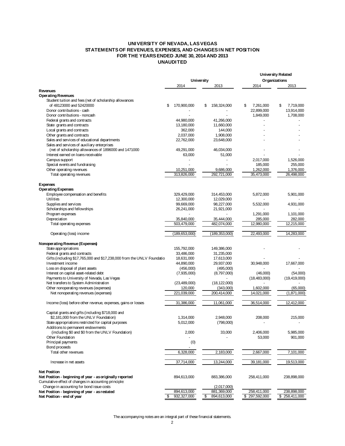## **UNIVERSITY OF NEVADA, LAS VEGAS STATEMENTS OF REVENUES, EXPENSES, AND CHANGES IN NET POSITION FOR THE YEARS ENDED JUNE 30, 2014 AND 2013 UNAUDITED**

|                                                                        |                           |                   |                 | <b>University Related</b> |
|------------------------------------------------------------------------|---------------------------|-------------------|-----------------|---------------------------|
|                                                                        |                           | <b>University</b> |                 | Organizations             |
|                                                                        | 2014                      | 2013              | 2014            | 2013                      |
| Revenues                                                               |                           |                   |                 |                           |
| <b>Operating Revenues</b>                                              |                           |                   |                 |                           |
| Student tuition and fees (net of scholarship allowances                |                           |                   |                 |                           |
| of 48123000 and 52420000                                               | \$<br>170,900,000         | 158,324,000<br>\$ | 7,261,000<br>\$ | 7,719,000<br>S            |
| Donor contributions - cash                                             |                           |                   | 22,899,000      | 13,914,000                |
| Donor contributions - noncash                                          |                           |                   | 1,849,000       | 1,708,000                 |
| Federal grants and contracts                                           | 44,980,000                | 41,266,000        |                 |                           |
| State grants and contracts                                             | 13,180,000                | 11,660,000        |                 |                           |
| Local grants and contracts                                             | 362,000                   | 144,000           |                 |                           |
| Other grants and contracts                                             | 2,037,000                 | 1,908,000         |                 |                           |
| Sales and services of educational departments                          | 22,762,000                | 23,648,000        |                 |                           |
| Sales and services of auxiliary enterprises                            |                           |                   |                 |                           |
| (net of scholarship allowances of 1896000 and 1471000                  | 49,291,000                | 46,034,000        |                 |                           |
| Interest earned on loans receivable                                    | 63,000                    | 51,000            |                 |                           |
| Campus support                                                         |                           |                   | 2,017,000       | 1,526,000                 |
| Special events and fundraising                                         |                           |                   | 185,000         | 255,000                   |
| Other operating revenues                                               | 10,251,000                | 9,686,000         |                 | 1,376,000                 |
|                                                                        |                           |                   | 1,262,000       |                           |
| Total operating revenues                                               | 313,826,000               | 292,721,000       | 35,473,000      | 26,498,000                |
|                                                                        |                           |                   |                 |                           |
| <b>Expenses</b>                                                        |                           |                   |                 |                           |
| <b>Operating Expenses</b>                                              |                           |                   |                 |                           |
| Employee compensation and benefits                                     | 329,429,000               | 314,453,000       | 5,872,000       | 5,901,000                 |
| Utilities                                                              | 12,300,000                | 12,029,000        |                 |                           |
| Supplies and services                                                  | 99,669,000                | 98,227,000        | 5,532,000       | 4,931,000                 |
| Scholarships and fellowships                                           | 26,241,000                | 21,921,000        |                 |                           |
| Program expenses                                                       |                           |                   | 1,291,000       | 1,101,000                 |
| Depreciation                                                           | 35,840,000                | 35,444,000        | 285,000         | 282,000                   |
| Total operating expenses                                               | 503,479,000               | 482,074,000       | 12,980,000      | 12,215,000                |
|                                                                        |                           |                   |                 |                           |
| Operating (loss) income                                                | (189,653,000)             | (189, 353, 000)   | 22,493,000      | 14,283,000                |
|                                                                        |                           |                   |                 |                           |
| Nonoperating Revenue (Expenses)                                        |                           |                   |                 |                           |
| State appropriations                                                   | 155,792,000               | 149,386,000       |                 |                           |
| Federal grants and contracts                                           | 33,486,000                | 31,235,000        |                 |                           |
| Gifts (including \$17,765,000 and \$17,238,000 from the UNLV Foundatio | 18,631,000                | 17,613,000        |                 |                           |
| Investment income                                                      | 44,890,000                | 29,937,000        | 30,948,000      | 17,667,000                |
| Loss on disposal of plant assets                                       | (456,000)                 | (495,000)         |                 |                           |
| Interest on capital asset-related debt                                 | (7,935,000)               | (8,797,000)       | (46,000)        | (54,000)                  |
| Payments to University of Nevada, Las Vegas                            |                           |                   | (18,483,000)    | (19, 419, 000)            |
| Net transfers to System Administration                                 | (23,489,000)              | (18, 122, 000)    |                 |                           |
| Other nonoperating revenues (expenses)                                 | 120,000                   | (343,000)         | 1,602,000       | (65,000)                  |
| Net nonoperating revenues (expenses)                                   | 221,039,000               | 200,414,000       | 14,021,000      | (1,871,000)               |
|                                                                        |                           |                   |                 |                           |
| Income (loss) before other revenue, expenses, gains or losses          | 31,386,000                | 11,061,000        | 36,514,000      | 12,412,000                |
|                                                                        |                           |                   |                 |                           |
| Capital grants and gifts (including \$718,000 and                      |                           |                   |                 |                           |
| \$2,181,000 from the UNLV Foundation)                                  | 1,314,000                 | 2,948,000         | 208,000         | 215,000                   |
| State appropriations restricted for capital purposes                   | 5,012,000                 | (798,000)         |                 |                           |
| Additions to permanent endowments                                      |                           |                   |                 |                           |
| (including \$0 and \$0 from the UNLV Foundation)                       | 2,000                     | 33,000            | 2,406,000       | 5,985,000                 |
| Other Foundation                                                       |                           |                   |                 | 901,000                   |
|                                                                        |                           |                   | 53,000          |                           |
| Principal payments                                                     | (0)                       |                   |                 |                           |
| Bond proceeds                                                          |                           |                   |                 |                           |
| Total other revenues                                                   | 6,328,000                 | 2,183,000         | 2,667,000       | 7,101,000                 |
|                                                                        |                           |                   |                 |                           |
| Increase in net assets                                                 | $\overline{37}$ , 714,000 | 13,244,000        | 39,181,000      | 19,513,000                |
|                                                                        |                           |                   |                 |                           |
| <b>Net Position</b>                                                    |                           |                   |                 |                           |
| Net Position - beginning of year - as originally reported              | 894,613,000               | 883,386,000       | 258,411,000     | 238,898,000               |
| Cumulative effect of changes in accounting principle:                  |                           |                   |                 |                           |
| Change in accounting for bond issue costs                              |                           | (2,017,000)       |                 |                           |
| Net Position - beginning of year - as restated                         | 894,613,000               | 881,369,000       | 258,411,000     | 238,898,000               |
| Net Position - end of year                                             | \$<br>932,327,000         | \$<br>894,613,000 | \$297,592,000   | \$258,411,000             |

The accompanying notes are an integral part of these financial statements.